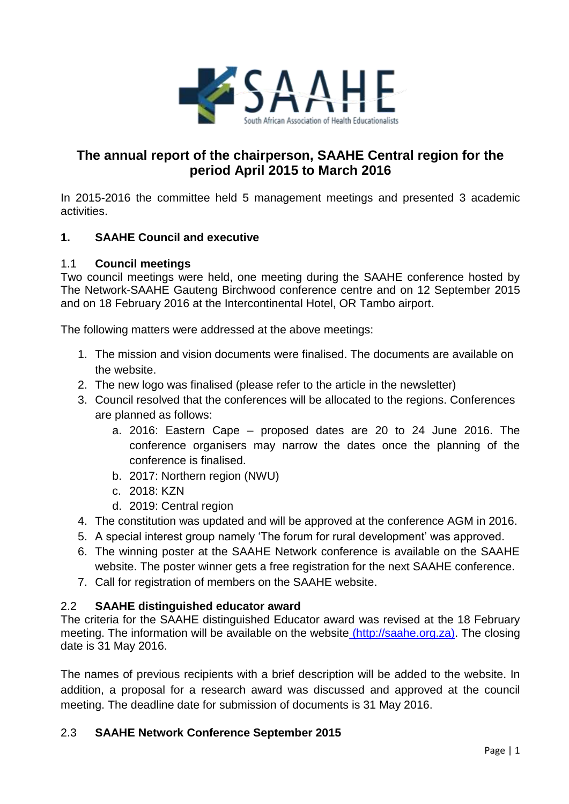

# **The annual report of the chairperson, SAAHE Central region for the period April 2015 to March 2016**

In 2015-2016 the committee held 5 management meetings and presented 3 academic activities.

# **1. SAAHE Council and executive**

## 1.1 **Council meetings**

Two council meetings were held, one meeting during the SAAHE conference hosted by The Network-SAAHE Gauteng Birchwood conference centre and on 12 September 2015 and on 18 February 2016 at the Intercontinental Hotel, OR Tambo airport.

The following matters were addressed at the above meetings:

- 1. The mission and vision documents were finalised. The documents are available on the website.
- 2. The new logo was finalised (please refer to the article in the newsletter)
- 3. Council resolved that the conferences will be allocated to the regions. Conferences are planned as follows:
	- a. 2016: Eastern Cape proposed dates are 20 to 24 June 2016. The conference organisers may narrow the dates once the planning of the conference is finalised.
	- b. 2017: Northern region (NWU)
	- c. 2018: KZN
	- d. 2019: Central region
- 4. The constitution was updated and will be approved at the conference AGM in 2016.
- 5. A special interest group namely 'The forum for rural development' was approved.
- 6. The winning poster at the SAAHE Network conference is available on the SAAHE website. The poster winner gets a free registration for the next SAAHE conference.
- 7. Call for registration of members on the SAAHE website.

# 2.2 **SAAHE distinguished educator award**

The criteria for the SAAHE distinguished Educator award was revised at the 18 February meeting. The information will be available on the website [\(http://saahe.org.za\).](file:///C:/Users/hfried/AppData/Local/(http:/saahe.org.za)) The closing date is 31 May 2016.

The names of previous recipients with a brief description will be added to the website. In addition, a proposal for a research award was discussed and approved at the council meeting. The deadline date for submission of documents is 31 May 2016.

# 2.3 **SAAHE Network Conference September 2015**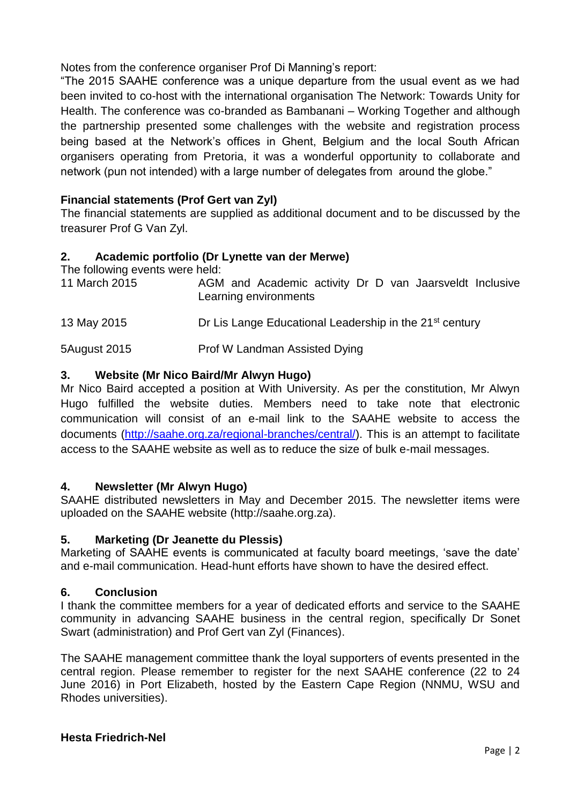Notes from the conference organiser Prof Di Manning's report:

"The 2015 SAAHE conference was a unique departure from the usual event as we had been invited to co-host with the international organisation The Network: Towards Unity for Health. The conference was co-branded as Bambanani – Working Together and although the partnership presented some challenges with the website and registration process being based at the Network's offices in Ghent, Belgium and the local South African organisers operating from Pretoria, it was a wonderful opportunity to collaborate and network (pun not intended) with a large number of delegates from around the globe."

# **Financial statements (Prof Gert van Zyl)**

The financial statements are supplied as additional document and to be discussed by the treasurer Prof G Van Zyl.

## **2. Academic portfolio (Dr Lynette van der Merwe)**

The following events were held:

| 11 March 2015 | AGM and Academic activity Dr D van Jaarsveldt Inclusive<br>Learning environments |
|---------------|----------------------------------------------------------------------------------|
| 13 May 2015   | Dr Lis Lange Educational Leadership in the 21 <sup>st</sup> century              |
| 5August 2015  | Prof W Landman Assisted Dying                                                    |

# **3. Website (Mr Nico Baird/Mr Alwyn Hugo)**

Mr Nico Baird accepted a position at With University. As per the constitution, Mr Alwyn Hugo fulfilled the website duties. Members need to take note that electronic communication will consist of an e-mail link to the SAAHE website to access the documents [\(http://saahe.org.za/regional-branches/central/\)](http://saahe.org.za/regional-branches/central/). This is an attempt to facilitate access to the SAAHE website as well as to reduce the size of bulk e-mail messages.

### **4. Newsletter (Mr Alwyn Hugo)**

SAAHE distributed newsletters in May and December 2015. The newsletter items were uploaded on the SAAHE website (http://saahe.org.za).

### **5. Marketing (Dr Jeanette du Plessis)**

Marketing of SAAHE events is communicated at faculty board meetings, 'save the date' and e-mail communication. Head-hunt efforts have shown to have the desired effect.

# **6. Conclusion**

I thank the committee members for a year of dedicated efforts and service to the SAAHE community in advancing SAAHE business in the central region, specifically Dr Sonet Swart (administration) and Prof Gert van Zyl (Finances).

The SAAHE management committee thank the loyal supporters of events presented in the central region. Please remember to register for the next SAAHE conference (22 to 24 June 2016) in Port Elizabeth, hosted by the Eastern Cape Region (NNMU, WSU and Rhodes universities).

### **Hesta Friedrich-Nel**